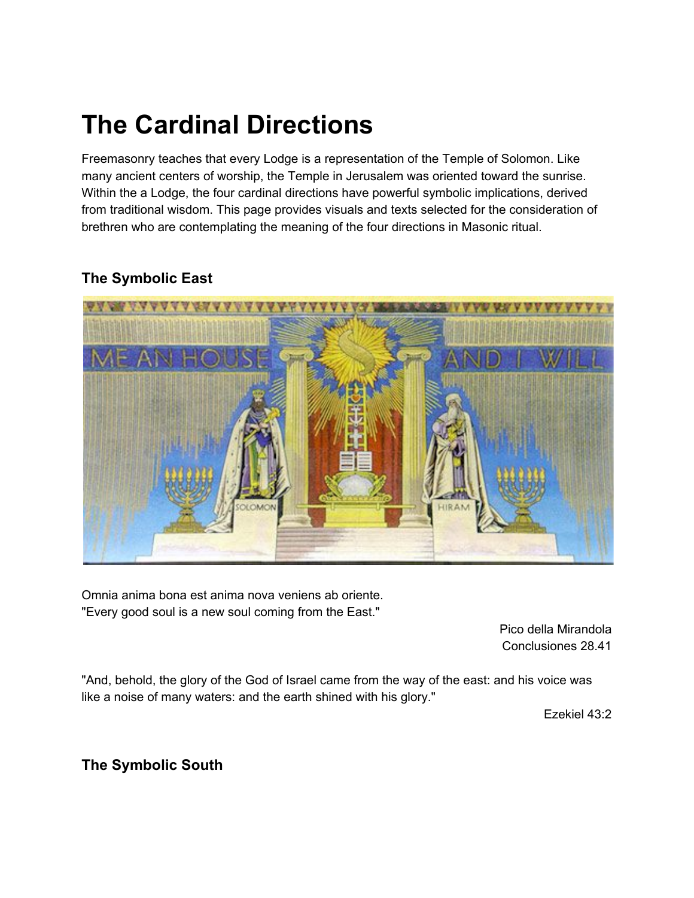## **The Cardinal Directions**

Freemasonry teaches that every Lodge is a representation of the Temple of Solomon. Like many ancient centers of worship, the Temple in Jerusalem was oriented toward the sunrise. Within the a Lodge, the four cardinal directions have powerful symbolic implications, derived from traditional wisdom. This page provides visuals and texts selected for the consideration of brethren who are contemplating the meaning of the four directions in Masonic ritual.

## **The Symbolic East**



Omnia anima bona est anima nova veniens ab oriente. "Every good soul is a new soul coming from the East."

> Pico della Mirandola Conclusiones 28.41

"And, behold, the glory of the God of Israel came from the way of the east: and his voice was like a noise of many waters: and the earth shined with his glory."

Ezekiel 43:2

**The Symbolic South**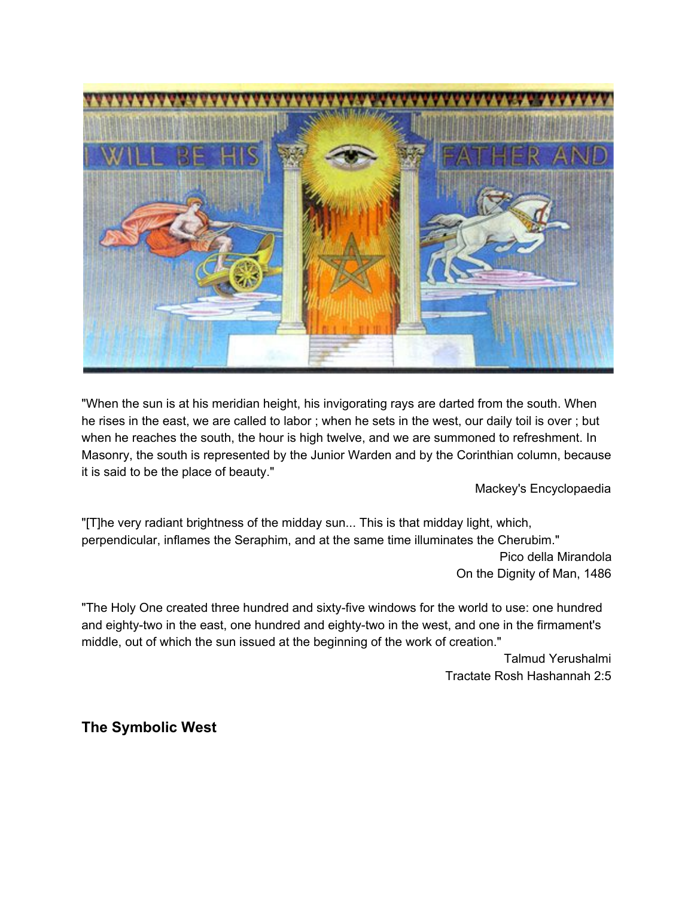

"When the sun is at his meridian height, his invigorating rays are darted from the south. When he rises in the east, we are called to labor ; when he sets in the west, our daily toil is over ; but when he reaches the south, the hour is high twelve, and we are summoned to refreshment. In Masonry, the south is represented by the Junior Warden and by the Corinthian column, because it is said to be the place of beauty."

Mackey's Encyclopaedia

"[T]he very radiant brightness of the midday sun... This is that midday light, which, perpendicular, inflames the Seraphim, and at the same time illuminates the Cherubim." Pico della Mirandola On the Dignity of Man, 1486

"The Holy One created three hundred and sixty-five windows for the world to use: one hundred and eighty-two in the east, one hundred and eighty-two in the west, and one in the firmament's middle, out of which the sun issued at the beginning of the work of creation."

> Talmud Yerushalmi Tractate Rosh Hashannah 2:5

**The Symbolic West**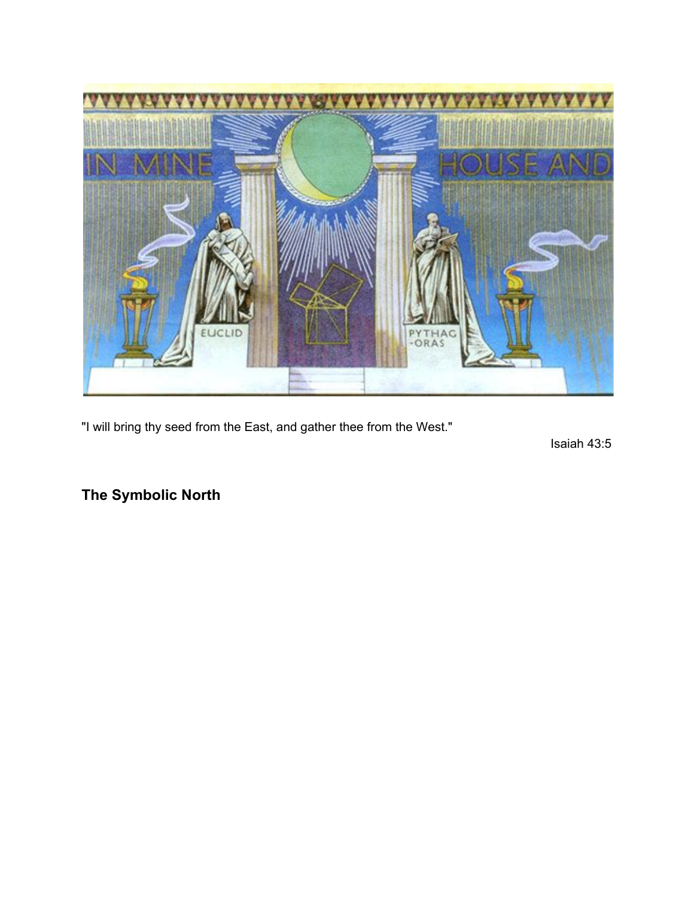

"I will bring thy seed from the East, and gather thee from the West."

Isaiah 43:5

**The Symbolic North**